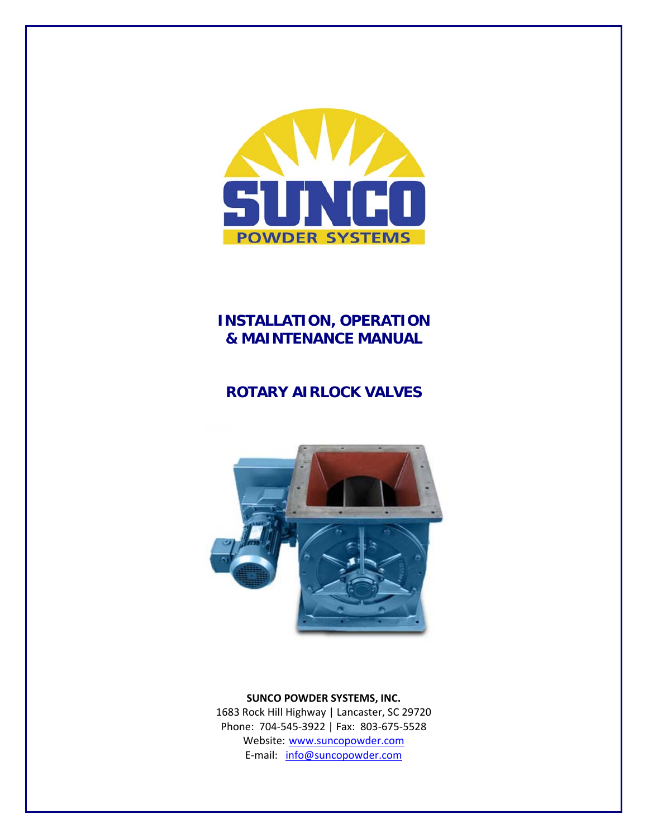

## **INSTALLATION, OPERATION & MAINTENANCE MANUAL**

# **ROTARY AIRLOCK VALVES**



## **SUNCO POWDER SYSTEMS, INC.**

1683 Rock Hill Highway | Lancaster, SC 29720 Phone: 704‐545‐3922 | Fax: 803‐675‐5528 Website: www.suncopowder.com E-mail: info@suncopowder.com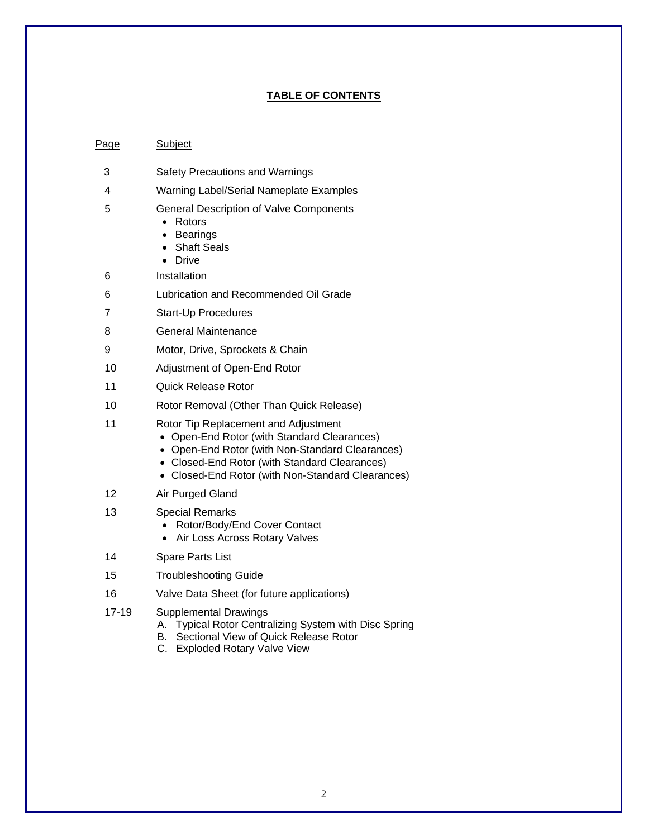## **TABLE OF CONTENTS**

#### Page Subject

- 3 Safety Precautions and Warnings
- 4 Warning Label/Serial Nameplate Examples
- 5 General Description of Valve Components
	- Rotors
	- **Bearings**
	- Shaft Seals
	- Drive
- 6 Installation
- 6 Lubrication and Recommended Oil Grade
- 7 Start-Up Procedures
- 8 General Maintenance
- 9 Motor, Drive, Sprockets & Chain
- 10 Adjustment of Open-End Rotor
- 11 Quick Release Rotor
- 10 Rotor Removal (Other Than Quick Release)
- 11 Rotor Tip Replacement and Adjustment
	- Open-End Rotor (with Standard Clearances)
	- Open-End Rotor (with Non-Standard Clearances)
	- Closed-End Rotor (with Standard Clearances)
	- Closed-End Rotor (with Non-Standard Clearances)
- 12 Air Purged Gland
- 13 Special Remarks
	- Rotor/Body/End Cover Contact
	- Air Loss Across Rotary Valves
- 14 Spare Parts List
- 15 Troubleshooting Guide
- 16 Valve Data Sheet (for future applications)
- 17-19 Supplemental Drawings
	- A. Typical Rotor Centralizing System with Disc Spring
	- B. Sectional View of Quick Release Rotor
	- C. Exploded Rotary Valve View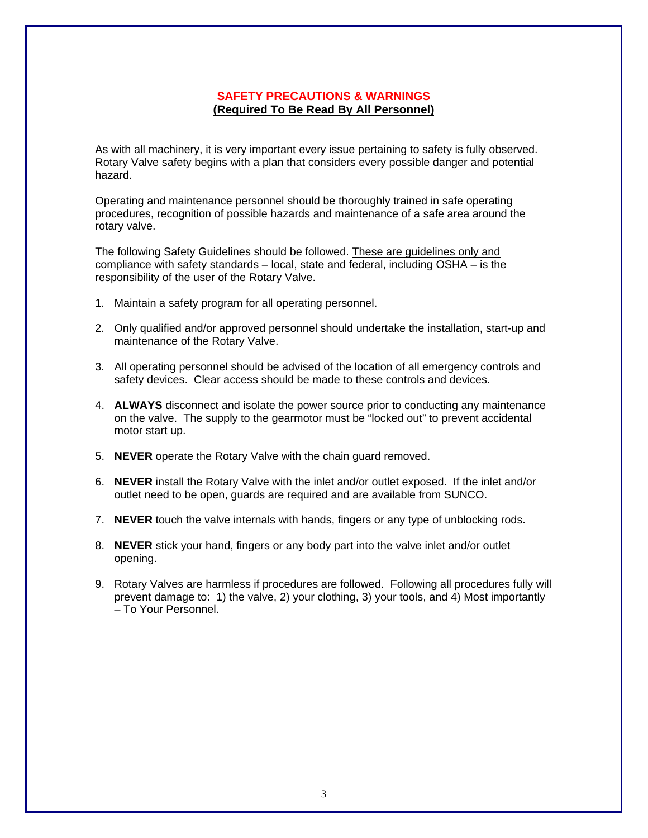## **SAFETY PRECAUTIONS & WARNINGS (Required To Be Read By All Personnel)**

As with all machinery, it is very important every issue pertaining to safety is fully observed. Rotary Valve safety begins with a plan that considers every possible danger and potential hazard.

Operating and maintenance personnel should be thoroughly trained in safe operating procedures, recognition of possible hazards and maintenance of a safe area around the rotary valve.

The following Safety Guidelines should be followed. These are guidelines only and compliance with safety standards – local, state and federal, including OSHA – is the responsibility of the user of the Rotary Valve.

- 1. Maintain a safety program for all operating personnel.
- 2. Only qualified and/or approved personnel should undertake the installation, start-up and maintenance of the Rotary Valve.
- 3. All operating personnel should be advised of the location of all emergency controls and safety devices. Clear access should be made to these controls and devices.
- 4. **ALWAYS** disconnect and isolate the power source prior to conducting any maintenance on the valve. The supply to the gearmotor must be "locked out" to prevent accidental motor start up.
- 5. **NEVER** operate the Rotary Valve with the chain guard removed.
- 6. **NEVER** install the Rotary Valve with the inlet and/or outlet exposed. If the inlet and/or outlet need to be open, guards are required and are available from SUNCO.
- 7. **NEVER** touch the valve internals with hands, fingers or any type of unblocking rods.
- 8. **NEVER** stick your hand, fingers or any body part into the valve inlet and/or outlet opening.
- 9. Rotary Valves are harmless if procedures are followed. Following all procedures fully will prevent damage to: 1) the valve, 2) your clothing, 3) your tools, and 4) Most importantly – To Your Personnel.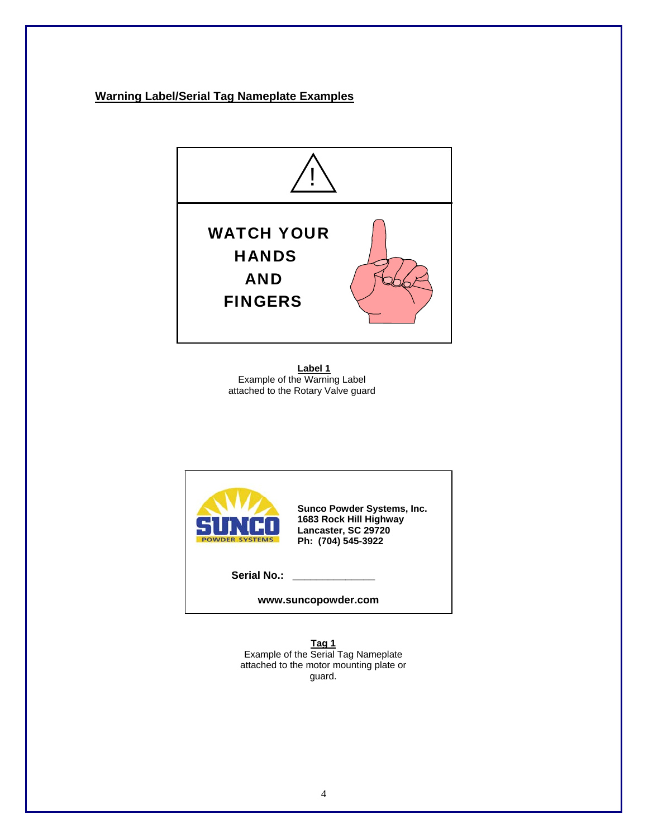## **Warning Label/Serial Tag Nameplate Examples**



**Label 1** Example of the Warning Label attached to the Rotary Valve guard



**www.suncopowder.com** 

**Tag 1** Example of the Serial Tag Nameplate attached to the motor mounting plate or guard.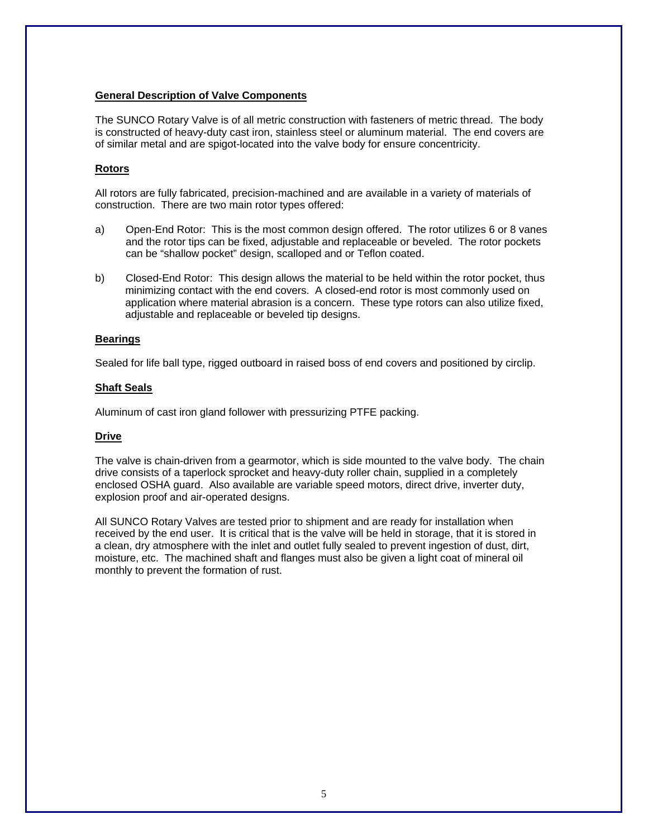#### **General Description of Valve Components**

The SUNCO Rotary Valve is of all metric construction with fasteners of metric thread. The body is constructed of heavy-duty cast iron, stainless steel or aluminum material. The end covers are of similar metal and are spigot-located into the valve body for ensure concentricity.

## **Rotors**

All rotors are fully fabricated, precision-machined and are available in a variety of materials of construction. There are two main rotor types offered:

- a) Open-End Rotor: This is the most common design offered. The rotor utilizes 6 or 8 vanes and the rotor tips can be fixed, adjustable and replaceable or beveled. The rotor pockets can be "shallow pocket" design, scalloped and or Teflon coated.
- b) Closed-End Rotor: This design allows the material to be held within the rotor pocket, thus minimizing contact with the end covers. A closed-end rotor is most commonly used on application where material abrasion is a concern. These type rotors can also utilize fixed, adjustable and replaceable or beveled tip designs.

#### **Bearings**

Sealed for life ball type, rigged outboard in raised boss of end covers and positioned by circlip.

#### **Shaft Seals**

Aluminum of cast iron gland follower with pressurizing PTFE packing.

### **Drive**

The valve is chain-driven from a gearmotor, which is side mounted to the valve body. The chain drive consists of a taperlock sprocket and heavy-duty roller chain, supplied in a completely enclosed OSHA guard. Also available are variable speed motors, direct drive, inverter duty, explosion proof and air-operated designs.

All SUNCO Rotary Valves are tested prior to shipment and are ready for installation when received by the end user. It is critical that is the valve will be held in storage, that it is stored in a clean, dry atmosphere with the inlet and outlet fully sealed to prevent ingestion of dust, dirt, moisture, etc. The machined shaft and flanges must also be given a light coat of mineral oil monthly to prevent the formation of rust.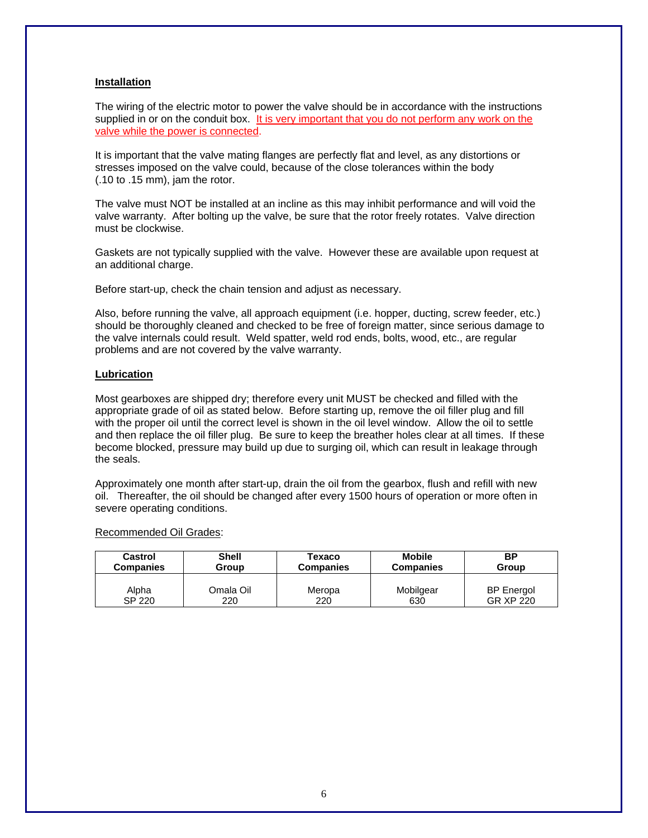#### **Installation**

The wiring of the electric motor to power the valve should be in accordance with the instructions supplied in or on the conduit box. It is very important that you do not perform any work on the valve while the power is connected.

It is important that the valve mating flanges are perfectly flat and level, as any distortions or stresses imposed on the valve could, because of the close tolerances within the body (.10 to .15 mm), jam the rotor.

The valve must NOT be installed at an incline as this may inhibit performance and will void the valve warranty. After bolting up the valve, be sure that the rotor freely rotates. Valve direction must be clockwise.

Gaskets are not typically supplied with the valve. However these are available upon request at an additional charge.

Before start-up, check the chain tension and adjust as necessary.

Also, before running the valve, all approach equipment (i.e. hopper, ducting, screw feeder, etc.) should be thoroughly cleaned and checked to be free of foreign matter, since serious damage to the valve internals could result. Weld spatter, weld rod ends, bolts, wood, etc., are regular problems and are not covered by the valve warranty.

#### **Lubrication**

Most gearboxes are shipped dry; therefore every unit MUST be checked and filled with the appropriate grade of oil as stated below. Before starting up, remove the oil filler plug and fill with the proper oil until the correct level is shown in the oil level window. Allow the oil to settle and then replace the oil filler plug. Be sure to keep the breather holes clear at all times. If these become blocked, pressure may build up due to surging oil, which can result in leakage through the seals.

Approximately one month after start-up, drain the oil from the gearbox, flush and refill with new oil. Thereafter, the oil should be changed after every 1500 hours of operation or more often in severe operating conditions.

#### Recommended Oil Grades:

| Castrol          | Shell     | Texaco           | <b>Mobile</b>    | <b>BP</b>         |  |  |
|------------------|-----------|------------------|------------------|-------------------|--|--|
| <b>Companies</b> | Group     | <b>Companies</b> | <b>Companies</b> | Group             |  |  |
| Alpha            | Omala Oil | Meropa           | Mobilgear        | <b>BP</b> Energol |  |  |
| SP 220           | 220       | 220              | 630              | GR XP 220         |  |  |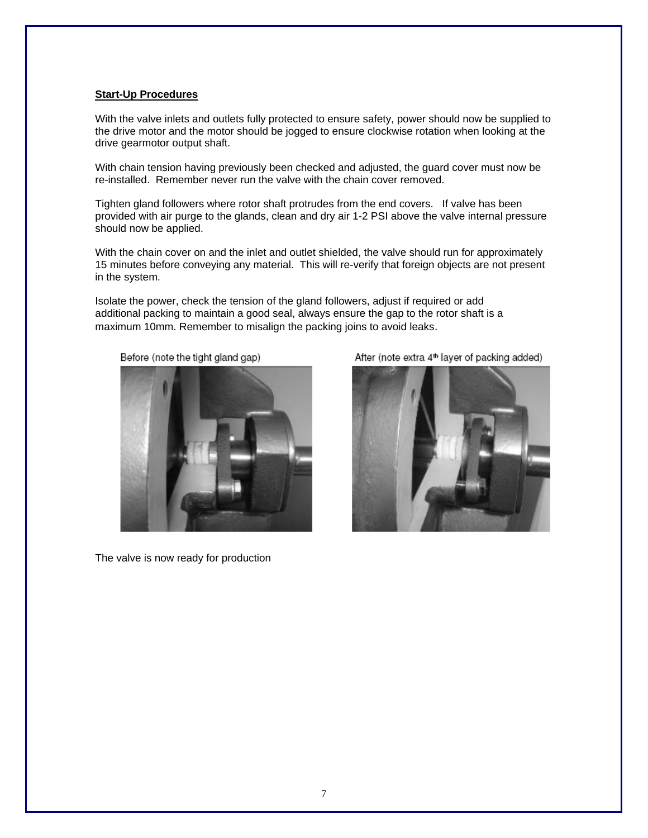#### **Start-Up Procedures**

With the valve inlets and outlets fully protected to ensure safety, power should now be supplied to the drive motor and the motor should be jogged to ensure clockwise rotation when looking at the drive gearmotor output shaft.

With chain tension having previously been checked and adjusted, the guard cover must now be re-installed. Remember never run the valve with the chain cover removed.

Tighten gland followers where rotor shaft protrudes from the end covers. If valve has been provided with air purge to the glands, clean and dry air 1-2 PSI above the valve internal pressure should now be applied.

With the chain cover on and the inlet and outlet shielded, the valve should run for approximately 15 minutes before conveying any material. This will re-verify that foreign objects are not present in the system.

Isolate the power, check the tension of the gland followers, adjust if required or add additional packing to maintain a good seal, always ensure the gap to the rotor shaft is a maximum 10mm. Remember to misalign the packing joins to avoid leaks.



Before (note the tight gland gap)

The valve is now ready for production

After (note extra 4<sup>th</sup> layer of packing added)

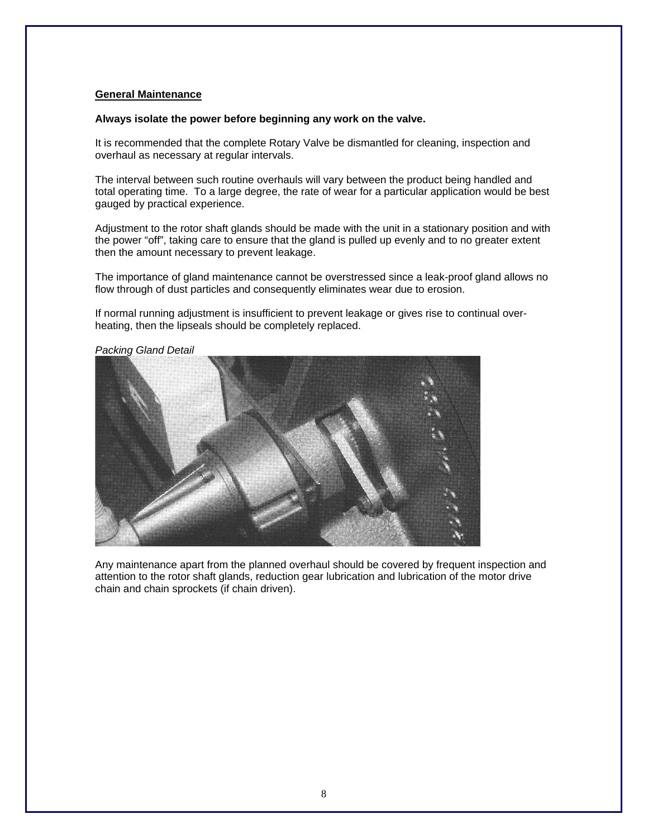#### **General Maintenance**

#### **Always isolate the power before beginning any work on the valve.**

It is recommended that the complete Rotary Valve be dismantled for cleaning, inspection and overhaul as necessary at regular intervals.

The interval between such routine overhauls will vary between the product being handled and total operating time. To a large degree, the rate of wear for a particular application would be best gauged by practical experience.

Adjustment to the rotor shaft glands should be made with the unit in a stationary position and with the power "off", taking care to ensure that the gland is pulled up evenly and to no greater extent then the amount necessary to prevent leakage.

The importance of gland maintenance cannot be overstressed since a leak-proof gland allows no flow through of dust particles and consequently eliminates wear due to erosion.

If normal running adjustment is insufficient to prevent leakage or gives rise to continual overheating, then the lipseals should be completely replaced.



*Packing Gland Detail* 

Any maintenance apart from the planned overhaul should be covered by frequent inspection and attention to the rotor shaft glands, reduction gear lubrication and lubrication of the motor drive chain and chain sprockets (if chain driven).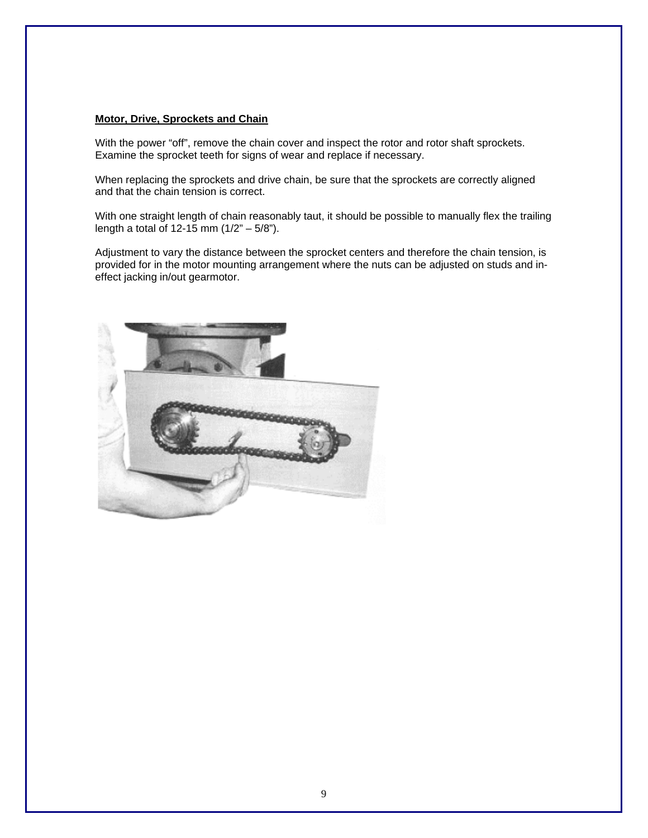#### **Motor, Drive, Sprockets and Chain**

With the power "off", remove the chain cover and inspect the rotor and rotor shaft sprockets. Examine the sprocket teeth for signs of wear and replace if necessary.

When replacing the sprockets and drive chain, be sure that the sprockets are correctly aligned and that the chain tension is correct.

With one straight length of chain reasonably taut, it should be possible to manually flex the trailing length a total of 12-15 mm  $(1/2 - 5/8)$ .

Adjustment to vary the distance between the sprocket centers and therefore the chain tension, is provided for in the motor mounting arrangement where the nuts can be adjusted on studs and ineffect jacking in/out gearmotor.

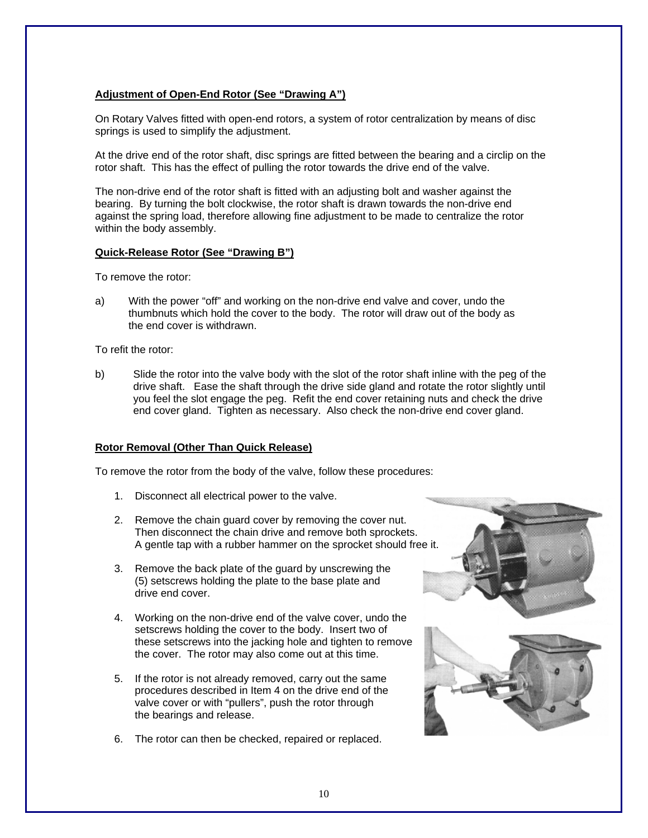#### **Adjustment of Open-End Rotor (See "Drawing A")**

On Rotary Valves fitted with open-end rotors, a system of rotor centralization by means of disc springs is used to simplify the adjustment.

At the drive end of the rotor shaft, disc springs are fitted between the bearing and a circlip on the rotor shaft. This has the effect of pulling the rotor towards the drive end of the valve.

The non-drive end of the rotor shaft is fitted with an adjusting bolt and washer against the bearing. By turning the bolt clockwise, the rotor shaft is drawn towards the non-drive end against the spring load, therefore allowing fine adjustment to be made to centralize the rotor within the body assembly.

#### **Quick-Release Rotor (See "Drawing B")**

To remove the rotor:

a) With the power "off" and working on the non-drive end valve and cover, undo the thumbnuts which hold the cover to the body. The rotor will draw out of the body as the end cover is withdrawn.

To refit the rotor:

b) Slide the rotor into the valve body with the slot of the rotor shaft inline with the peg of the drive shaft. Ease the shaft through the drive side gland and rotate the rotor slightly until you feel the slot engage the peg. Refit the end cover retaining nuts and check the drive end cover gland. Tighten as necessary. Also check the non-drive end cover gland.

#### **Rotor Removal (Other Than Quick Release)**

To remove the rotor from the body of the valve, follow these procedures:

- 1. Disconnect all electrical power to the valve.
- 2. Remove the chain guard cover by removing the cover nut. Then disconnect the chain drive and remove both sprockets. A gentle tap with a rubber hammer on the sprocket should free it.
- 3. Remove the back plate of the guard by unscrewing the (5) setscrews holding the plate to the base plate and drive end cover.
- 4. Working on the non-drive end of the valve cover, undo the setscrews holding the cover to the body. Insert two of these setscrews into the jacking hole and tighten to remove the cover. The rotor may also come out at this time.
- 5. If the rotor is not already removed, carry out the same procedures described in Item 4 on the drive end of the valve cover or with "pullers", push the rotor through the bearings and release.
- 6. The rotor can then be checked, repaired or replaced.

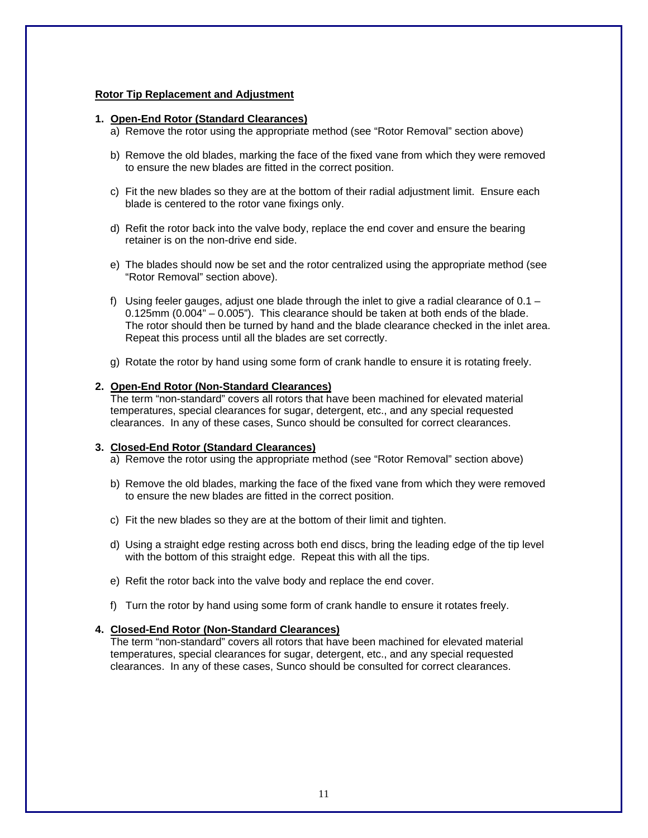#### **Rotor Tip Replacement and Adjustment**

#### **1. Open-End Rotor (Standard Clearances)**

- a) Remove the rotor using the appropriate method (see "Rotor Removal" section above)
- b) Remove the old blades, marking the face of the fixed vane from which they were removed to ensure the new blades are fitted in the correct position.
- c) Fit the new blades so they are at the bottom of their radial adjustment limit. Ensure each blade is centered to the rotor vane fixings only.
- d) Refit the rotor back into the valve body, replace the end cover and ensure the bearing retainer is on the non-drive end side.
- e) The blades should now be set and the rotor centralized using the appropriate method (see "Rotor Removal" section above).
- f) Using feeler gauges, adjust one blade through the inlet to give a radial clearance of  $0.1 0.125$ mm  $(0.004<sup>n</sup> - 0.005<sup>n</sup>)$ . This clearance should be taken at both ends of the blade. The rotor should then be turned by hand and the blade clearance checked in the inlet area. Repeat this process until all the blades are set correctly.
- g) Rotate the rotor by hand using some form of crank handle to ensure it is rotating freely.

#### **2. Open-End Rotor (Non-Standard Clearances)**

The term "non-standard" covers all rotors that have been machined for elevated material temperatures, special clearances for sugar, detergent, etc., and any special requested clearances. In any of these cases, Sunco should be consulted for correct clearances.

#### **3. Closed-End Rotor (Standard Clearances)**

- a) Remove the rotor using the appropriate method (see "Rotor Removal" section above)
- b) Remove the old blades, marking the face of the fixed vane from which they were removed to ensure the new blades are fitted in the correct position.
- c) Fit the new blades so they are at the bottom of their limit and tighten.
- d) Using a straight edge resting across both end discs, bring the leading edge of the tip level with the bottom of this straight edge. Repeat this with all the tips.
- e) Refit the rotor back into the valve body and replace the end cover.
- f) Turn the rotor by hand using some form of crank handle to ensure it rotates freely.

#### **4. Closed-End Rotor (Non-Standard Clearances)**

The term "non-standard" covers all rotors that have been machined for elevated material temperatures, special clearances for sugar, detergent, etc., and any special requested clearances. In any of these cases, Sunco should be consulted for correct clearances.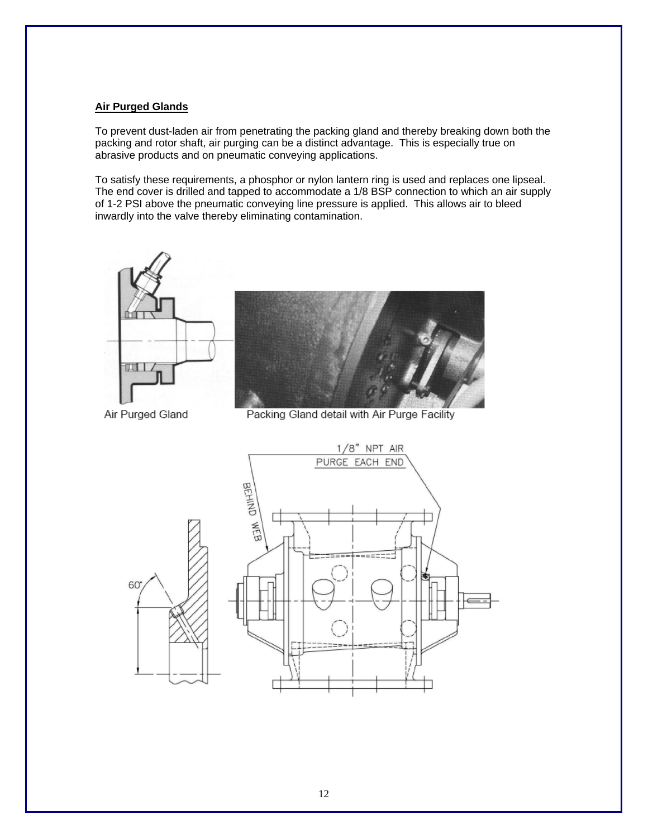#### **Air Purged Glands**

To prevent dust-laden air from penetrating the packing gland and thereby breaking down both the packing and rotor shaft, air purging can be a distinct advantage. This is especially true on abrasive products and on pneumatic conveying applications.

To satisfy these requirements, a phosphor or nylon lantern ring is used and replaces one lipseal. The end cover is drilled and tapped to accommodate a 1/8 BSP connection to which an air supply of 1-2 PSI above the pneumatic conveying line pressure is applied. This allows air to bleed inwardly into the valve thereby eliminating contamination.

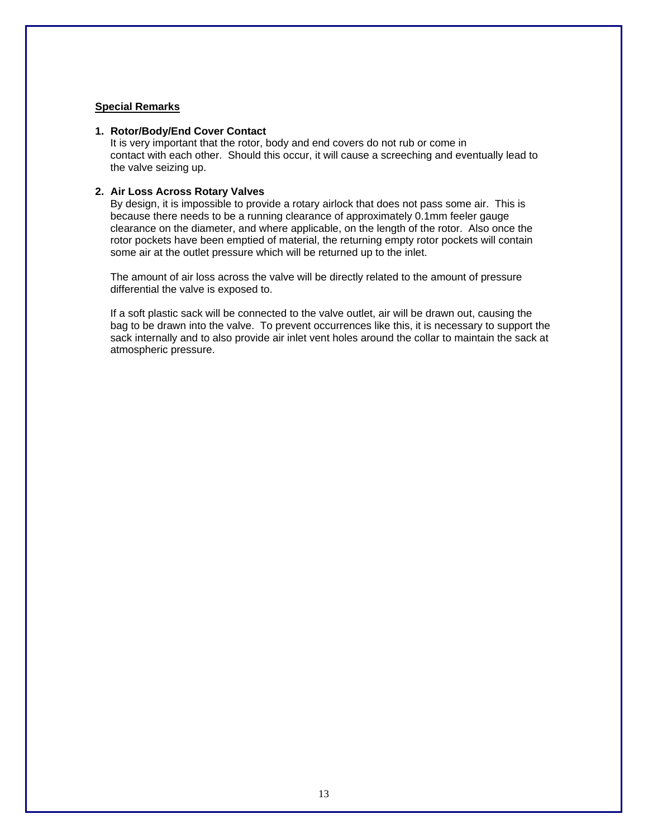#### **Special Remarks**

#### **1. Rotor/Body/End Cover Contact**

It is very important that the rotor, body and end covers do not rub or come in contact with each other. Should this occur, it will cause a screeching and eventually lead to the valve seizing up.

### **2. Air Loss Across Rotary Valves**

By design, it is impossible to provide a rotary airlock that does not pass some air. This is because there needs to be a running clearance of approximately 0.1mm feeler gauge clearance on the diameter, and where applicable, on the length of the rotor. Also once the rotor pockets have been emptied of material, the returning empty rotor pockets will contain some air at the outlet pressure which will be returned up to the inlet.

The amount of air loss across the valve will be directly related to the amount of pressure differential the valve is exposed to.

If a soft plastic sack will be connected to the valve outlet, air will be drawn out, causing the bag to be drawn into the valve. To prevent occurrences like this, it is necessary to support the sack internally and to also provide air inlet vent holes around the collar to maintain the sack at atmospheric pressure.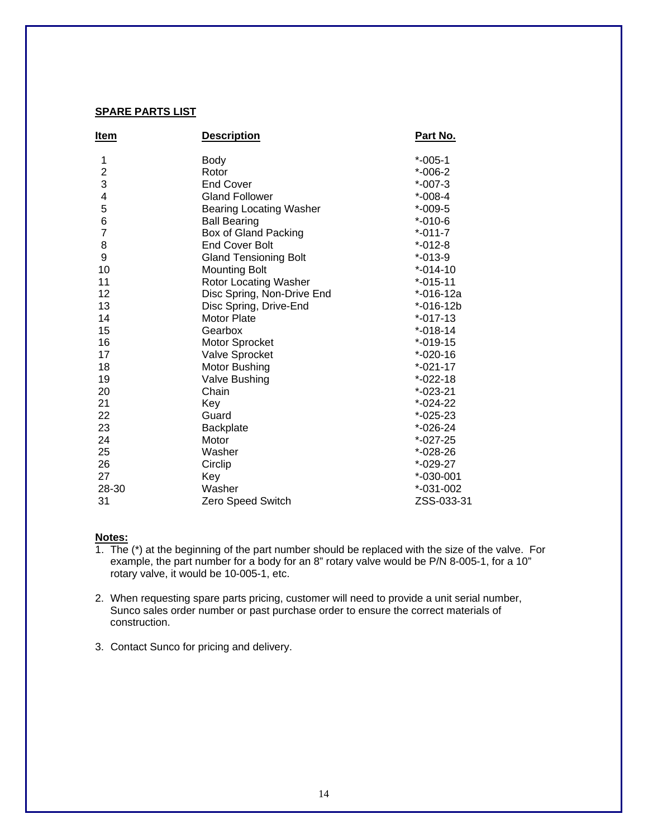### **SPARE PARTS LIST**

| Item                    | <b>Description</b>             | Part No.       |
|-------------------------|--------------------------------|----------------|
| 1                       | <b>Body</b>                    | $*$ -005-1     |
| $\overline{\mathbf{c}}$ | Rotor                          | $*-006-2$      |
| 3                       | <b>End Cover</b>               | $*$ -007-3     |
| 4                       | <b>Gland Follower</b>          | $*$ -008-4     |
| 5                       | <b>Bearing Locating Washer</b> | $*-009-5$      |
| $\,6$                   | <b>Ball Bearing</b>            | $* -010 - 6$   |
| 7                       | Box of Gland Packing           | $*$ -011-7     |
| 8                       | <b>End Cover Bolt</b>          | $* -012 - 8$   |
| 9                       | <b>Gland Tensioning Bolt</b>   | $* -013-9$     |
| 10                      | <b>Mounting Bolt</b>           | $* -014 - 10$  |
| 11                      | Rotor Locating Washer          | $* -015 - 11$  |
| 12                      | Disc Spring, Non-Drive End     | $* -016 - 12a$ |
| 13                      | Disc Spring, Drive-End         | $* -016 - 12b$ |
| 14                      | <b>Motor Plate</b>             | $* -017 - 13$  |
| 15                      | Gearbox                        | $* -018 - 14$  |
| 16                      | Motor Sprocket                 | $* -019 - 15$  |
| 17                      | Valve Sprocket                 | $* -020 - 16$  |
| 18                      | Motor Bushing                  | $* -021 - 17$  |
| 19                      | Valve Bushing                  | $*-022-18$     |
| 20                      | Chain                          | $*-023-21$     |
| 21                      | Key                            | $*$ -024-22    |
| 22                      | Guard                          | $*-025-23$     |
| 23                      | Backplate                      | $*-026-24$     |
| 24                      | Motor                          | $*-027-25$     |
| 25                      | Washer                         | $*-028-26$     |
| 26                      | Circlip                        | $*-029-27$     |
| 27                      | Key                            | $*-030-001$    |
| 28-30                   | Washer                         | $*-031-002$    |
| 31                      | Zero Speed Switch              | ZSS-033-31     |

#### **Notes:**

- 1. The  $(*)$  at the beginning of the part number should be replaced with the size of the valve. For example, the part number for a body for an 8" rotary valve would be P/N 8-005-1, for a 10" rotary valve, it would be 10-005-1, etc.
- 2. When requesting spare parts pricing, customer will need to provide a unit serial number, Sunco sales order number or past purchase order to ensure the correct materials of construction.
- 3. Contact Sunco for pricing and delivery.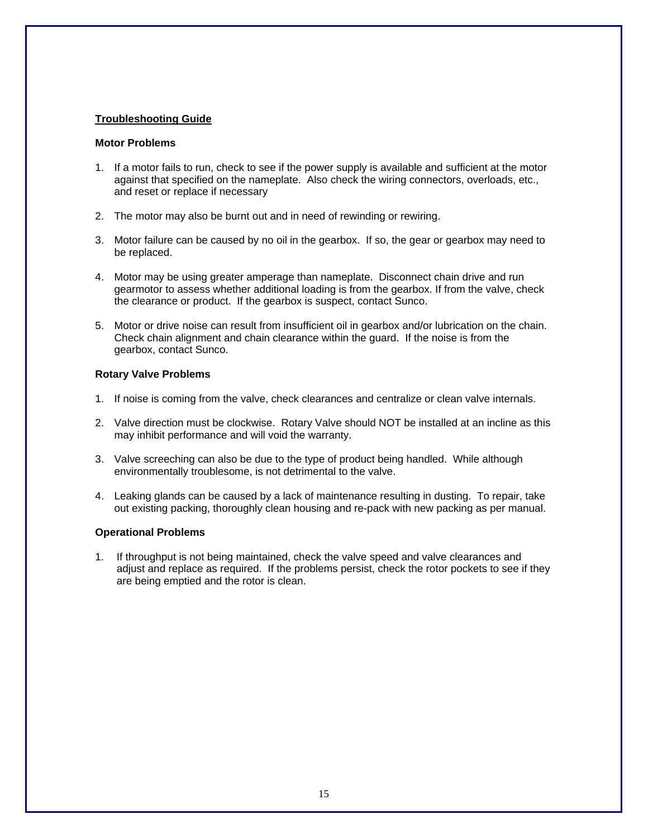#### **Troubleshooting Guide**

#### **Motor Problems**

- 1. If a motor fails to run, check to see if the power supply is available and sufficient at the motor against that specified on the nameplate. Also check the wiring connectors, overloads, etc., and reset or replace if necessary
- 2. The motor may also be burnt out and in need of rewinding or rewiring.
- 3. Motor failure can be caused by no oil in the gearbox. If so, the gear or gearbox may need to be replaced.
- 4. Motor may be using greater amperage than nameplate. Disconnect chain drive and run gearmotor to assess whether additional loading is from the gearbox. If from the valve, check the clearance or product. If the gearbox is suspect, contact Sunco.
- 5. Motor or drive noise can result from insufficient oil in gearbox and/or lubrication on the chain. Check chain alignment and chain clearance within the guard. If the noise is from the gearbox, contact Sunco.

#### **Rotary Valve Problems**

- 1. If noise is coming from the valve, check clearances and centralize or clean valve internals.
- 2. Valve direction must be clockwise. Rotary Valve should NOT be installed at an incline as this may inhibit performance and will void the warranty.
- 3. Valve screeching can also be due to the type of product being handled. While although environmentally troublesome, is not detrimental to the valve.
- 4. Leaking glands can be caused by a lack of maintenance resulting in dusting. To repair, take out existing packing, thoroughly clean housing and re-pack with new packing as per manual.

#### **Operational Problems**

1. If throughput is not being maintained, check the valve speed and valve clearances and adjust and replace as required. If the problems persist, check the rotor pockets to see if they are being emptied and the rotor is clean.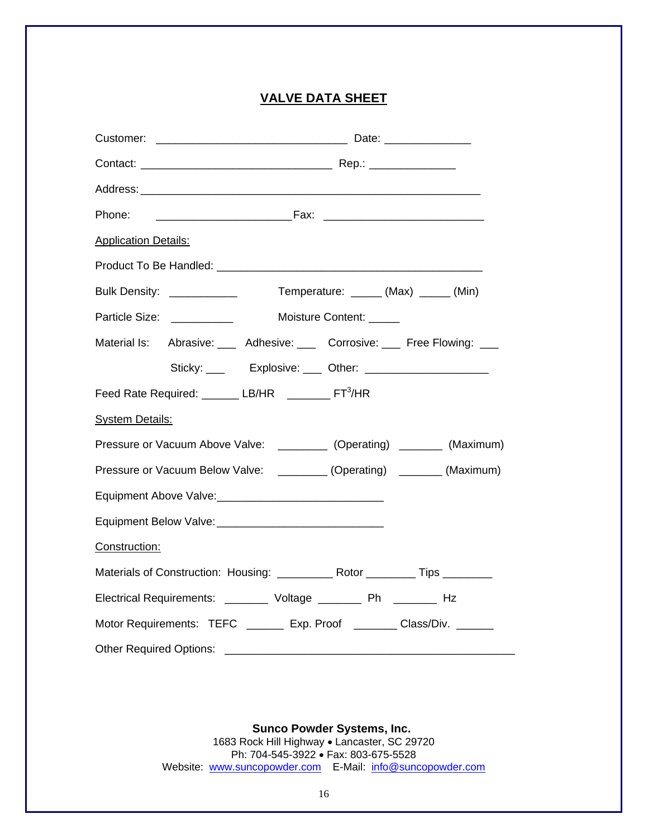## **VALVE DATA SHEET**

| Phone:                                                                  |                                                                                   |  |  |  |  |  |  |  |  |  |  |  |  |  |  |
|-------------------------------------------------------------------------|-----------------------------------------------------------------------------------|--|--|--|--|--|--|--|--|--|--|--|--|--|--|
| <b>Application Details:</b>                                             |                                                                                   |  |  |  |  |  |  |  |  |  |  |  |  |  |  |
|                                                                         |                                                                                   |  |  |  |  |  |  |  |  |  |  |  |  |  |  |
|                                                                         | Bulk Density: ____________<br>Temperature: ______ (Max) _____ (Min)               |  |  |  |  |  |  |  |  |  |  |  |  |  |  |
|                                                                         | Particle Size: _____________ Moisture Content: _____                              |  |  |  |  |  |  |  |  |  |  |  |  |  |  |
|                                                                         | Material Is: Abrasive: ___ Adhesive: ___ Corrosive: ___ Free Flowing: ___         |  |  |  |  |  |  |  |  |  |  |  |  |  |  |
|                                                                         | Sticky: ___ Explosive: ___ Other: ______________________                          |  |  |  |  |  |  |  |  |  |  |  |  |  |  |
| Feed Rate Required: _______ LB/HR ________ FT <sup>3</sup> /HR          |                                                                                   |  |  |  |  |  |  |  |  |  |  |  |  |  |  |
| <b>System Details:</b>                                                  |                                                                                   |  |  |  |  |  |  |  |  |  |  |  |  |  |  |
|                                                                         | Pressure or Vacuum Above Valve: __________ (Operating) _______ (Maximum)          |  |  |  |  |  |  |  |  |  |  |  |  |  |  |
| Pressure or Vacuum Below Valve: _________ (Operating) _______ (Maximum) |                                                                                   |  |  |  |  |  |  |  |  |  |  |  |  |  |  |
|                                                                         |                                                                                   |  |  |  |  |  |  |  |  |  |  |  |  |  |  |
|                                                                         |                                                                                   |  |  |  |  |  |  |  |  |  |  |  |  |  |  |
| Construction:                                                           |                                                                                   |  |  |  |  |  |  |  |  |  |  |  |  |  |  |
|                                                                         | Materials of Construction: Housing: _____________ Rotor __________ Tips _________ |  |  |  |  |  |  |  |  |  |  |  |  |  |  |
|                                                                         | Electrical Requirements: ________ Voltage ________ Ph ________ Hz                 |  |  |  |  |  |  |  |  |  |  |  |  |  |  |
| Motor Requirements: TEFC ________ Exp. Proof ________ Class/Div. ______ |                                                                                   |  |  |  |  |  |  |  |  |  |  |  |  |  |  |
| <b>Other Required Options:</b>                                          | <u> 1980 - Jan Alexandro Alexandro III e ale</u>                                  |  |  |  |  |  |  |  |  |  |  |  |  |  |  |

 **Sunco Powder Systems, Inc.**  1683 Rock Hill Highway • Lancaster, SC 29720 Ph: 704-545-3922 • Fax: 803-675-5528 Website: www.suncopowder.com E-Mail: info@suncopowder.com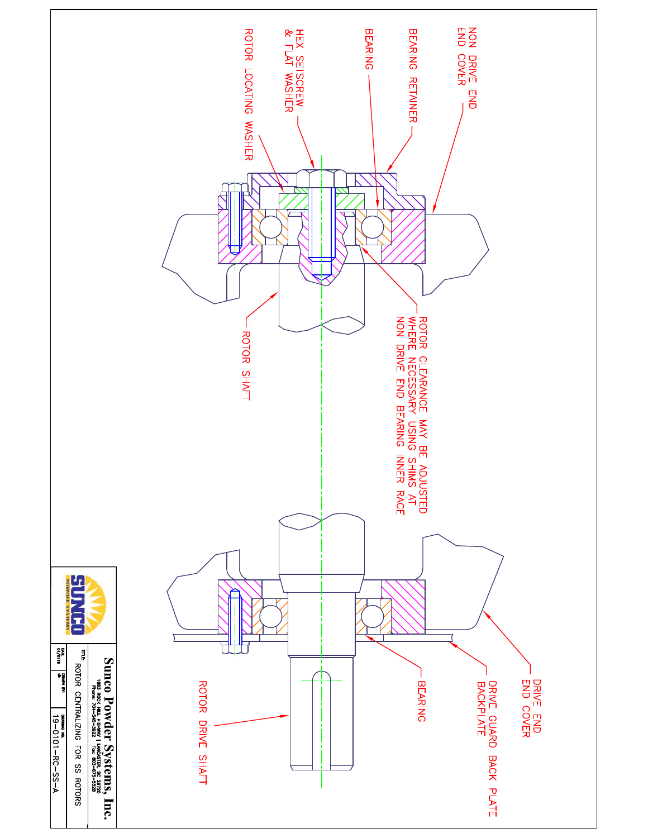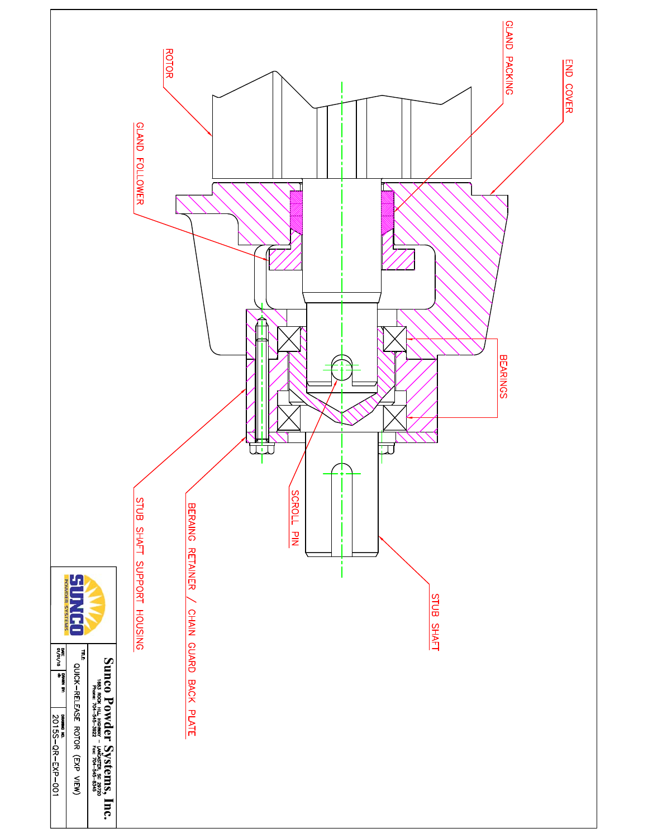